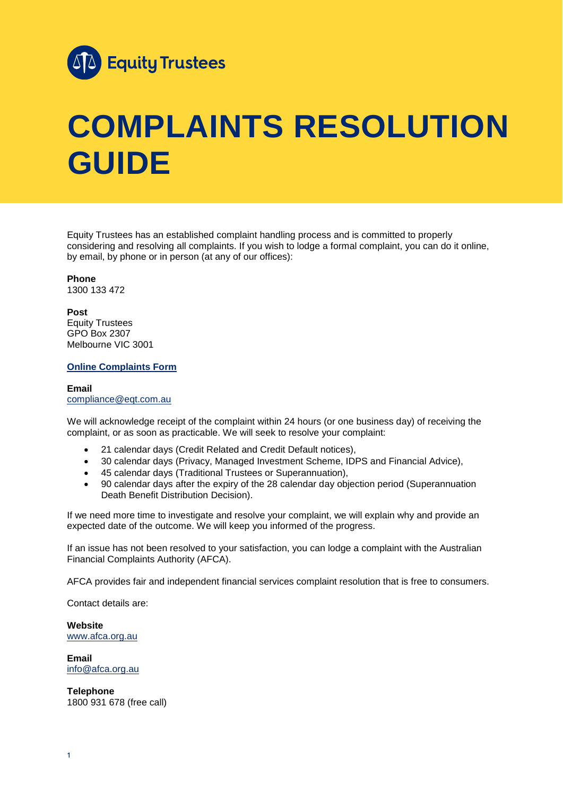

## **COMPLAINTS RESOLUTION GUIDE**

Equity Trustees has an established complaint handling process and is committed to properly considering and resolving all complaints. If you wish to lodge a formal complaint, you can do it online, by email, by phone or in person (at any of our offices):

**Phone** 1300 133 472

**Post** Equity Trustees GPO Box 2307 Melbourne VIC 3001

## **[Online Complaints Form](https://www.eqt.com.au/-/media/equitytrustees/files/corporate/governancepolicies/complaint-form.pdf)**

**Email** [compliance@eqt.com.au](mailto:compliance@eqt.com.au)

We will acknowledge receipt of the complaint within 24 hours (or one business day) of receiving the complaint, or as soon as practicable. We will seek to resolve your complaint:

- 21 calendar days (Credit Related and Credit Default notices),
- 30 calendar days (Privacy, Managed Investment Scheme, IDPS and Financial Advice),
- 
- 30 calendar days (Privacy, Manageu myseument condition),<br>• 45 calendar days (Traditional Trustees or Superannuation), • 90 calendar days after the expiry of the 28 calendar day objection period (Superannuation Death Benefit Distribution Decision).

If we need more time to investigate and resolve your complaint, we will explain why and provide an expected date of the outcome. We will keep you informed of the progress.

If an issue has not been resolved to your satisfaction, you can lodge a complaint with the Australian Financial Complaints Authority (AFCA).

AFCA provides fair and independent financial services complaint resolution that is free to consumers.

Contact details are:

**Website** [www.afca.org.au](https://www.afca.org.au/)

**Email** [info@afca.org.au](mailto:info@afca.org.au)

**Telephone** 1800 931 678 (free call)